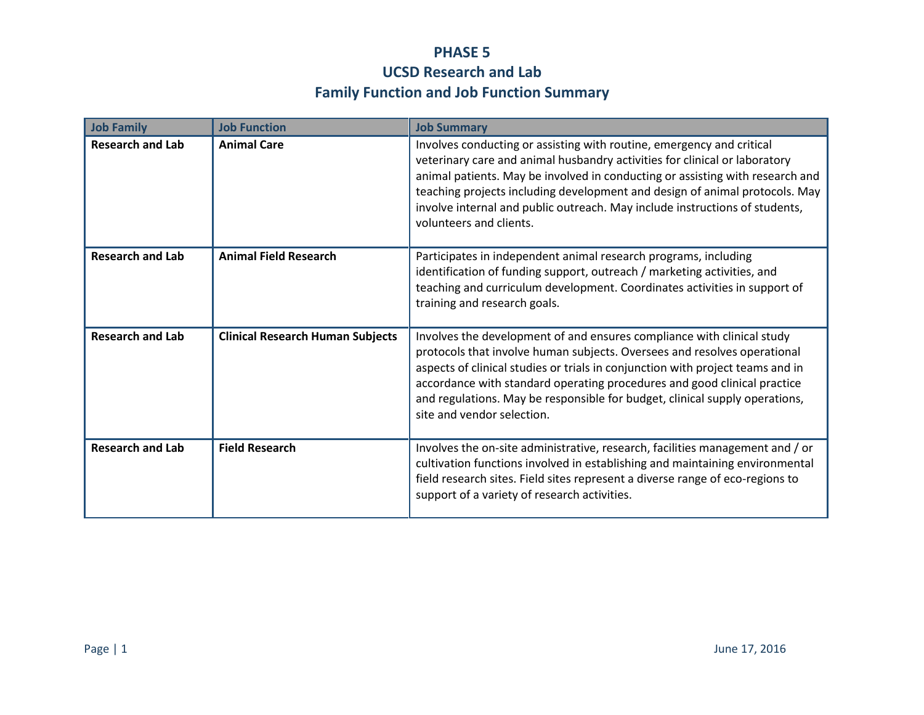## **PHASE 5 UCSD Research and Lab Family Function and Job Function Summary**

| <b>Job Family</b>       | <b>Job Function</b>                     | <b>Job Summary</b>                                                                                                                                                                                                                                                                                                                                                                                                            |
|-------------------------|-----------------------------------------|-------------------------------------------------------------------------------------------------------------------------------------------------------------------------------------------------------------------------------------------------------------------------------------------------------------------------------------------------------------------------------------------------------------------------------|
| <b>Research and Lab</b> | <b>Animal Care</b>                      | Involves conducting or assisting with routine, emergency and critical<br>veterinary care and animal husbandry activities for clinical or laboratory<br>animal patients. May be involved in conducting or assisting with research and<br>teaching projects including development and design of animal protocols. May<br>involve internal and public outreach. May include instructions of students,<br>volunteers and clients. |
| <b>Research and Lab</b> | <b>Animal Field Research</b>            | Participates in independent animal research programs, including<br>identification of funding support, outreach / marketing activities, and<br>teaching and curriculum development. Coordinates activities in support of<br>training and research goals.                                                                                                                                                                       |
| <b>Research and Lab</b> | <b>Clinical Research Human Subjects</b> | Involves the development of and ensures compliance with clinical study<br>protocols that involve human subjects. Oversees and resolves operational<br>aspects of clinical studies or trials in conjunction with project teams and in<br>accordance with standard operating procedures and good clinical practice<br>and regulations. May be responsible for budget, clinical supply operations,<br>site and vendor selection. |
| <b>Research and Lab</b> | <b>Field Research</b>                   | Involves the on-site administrative, research, facilities management and / or<br>cultivation functions involved in establishing and maintaining environmental<br>field research sites. Field sites represent a diverse range of eco-regions to<br>support of a variety of research activities.                                                                                                                                |